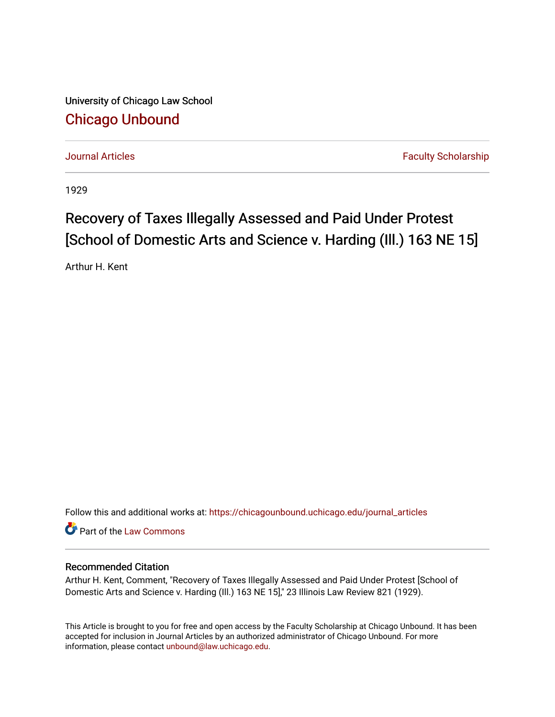University of Chicago Law School [Chicago Unbound](https://chicagounbound.uchicago.edu/)

[Journal Articles](https://chicagounbound.uchicago.edu/journal_articles) **Faculty Scholarship Journal Articles** 

1929

## Recovery of Taxes Illegally Assessed and Paid Under Protest [School of Domestic Arts and Science v. Harding (Ill.) 163 NE 15]

Arthur H. Kent

Follow this and additional works at: [https://chicagounbound.uchicago.edu/journal\\_articles](https://chicagounbound.uchicago.edu/journal_articles?utm_source=chicagounbound.uchicago.edu%2Fjournal_articles%2F9342&utm_medium=PDF&utm_campaign=PDFCoverPages) 

Part of the [Law Commons](http://network.bepress.com/hgg/discipline/578?utm_source=chicagounbound.uchicago.edu%2Fjournal_articles%2F9342&utm_medium=PDF&utm_campaign=PDFCoverPages)

## Recommended Citation

Arthur H. Kent, Comment, "Recovery of Taxes Illegally Assessed and Paid Under Protest [School of Domestic Arts and Science v. Harding (Ill.) 163 NE 15]," 23 Illinois Law Review 821 (1929).

This Article is brought to you for free and open access by the Faculty Scholarship at Chicago Unbound. It has been accepted for inclusion in Journal Articles by an authorized administrator of Chicago Unbound. For more information, please contact [unbound@law.uchicago.edu](mailto:unbound@law.uchicago.edu).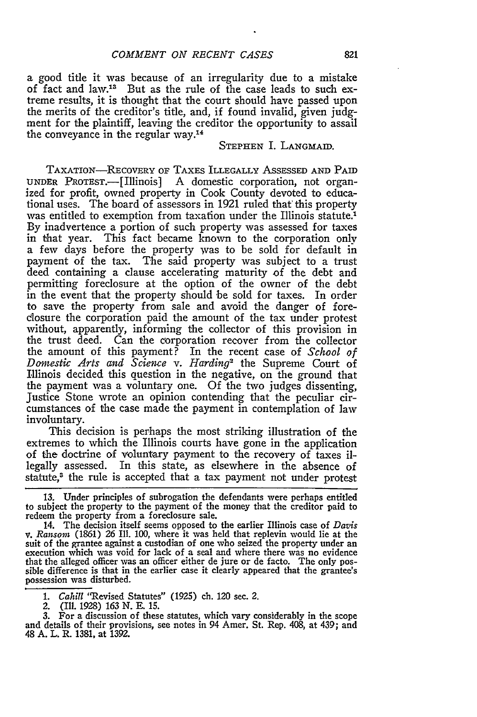a good title it was because of an irregularity due to a mistake of fact and law.<sup>13</sup> But as the rule of the case leads to such extreme results, it is thought that the court should have passed upon the merits of the creditor's title, and, if found invalid, given judgment for the plaintiff, leaving the creditor the opportunity to assail the conveyance in the regular way.<sup>14</sup>

## **STEPHEN** I. **LANGMAID.**

TAXATION-REcOvERY OF TAXES ILLEGALLY ASSESSED **AND** PAID **UNDER** PROTEST.- [Illinois] A domestic corporation, not organized for profit, owned property in Cook County devoted to educational uses. The board of assessors in 1921 ruled that' this property was entitled to exemption from taxation under the Illinois statute.<sup>1</sup> By inadvertence a portion of such property was assessed for taxes in that year. This fact became known to the corporation only a few days before the property was to be sold for default in payment of the tax. The said property was subject to a trust deed containing a clause accelerating maturity of the debt and permitting foreclosure at the option of the owner of the debt in the event that the property should be sold for taxes. In order to save the property from sale and avoid the danger of foreclosure the corporation paid the amount of the tax under protest without, apparently, informing the collector of this provision in the trust deed. Can the corporation recover from the collector the amount of this payment? In the recent case of *School of Domestic Arts and Scieiwe v. Harding2* the Supreme Court of Illinois decided this question in the negative, on the ground that the payment was a voluntary one. Of the two judges dissenting, Justice Stone wrote an opinion contending that the peculiar circumstances of the case made the payment in contemplation of law involuntary.

This decision is perhaps the most striking illustration of the extremes to which the Illinois courts have gone in the application of the doctrine of voluntary payment to the recovery of taxes illegally assessed. In this state, as elsewhere in the absence of statute,<sup>3</sup> the rule is accepted that a tax payment not under protest

13. Under principles of subrogation the defendants were perhaps entitled to subject the property to the payment of the money that the creditor paid to redeem the property from a foreclosure sale.

14. The decision itself seems opposed to the earlier Illinois case of *Davis v. Ransom* (1861) 26 Ill. 100, where it was held that replevin would lie at the suit of the grantee against a custodian of one who seized the property under an execution which was void for lack of a seal and where there was no evidence that the alleged officer was an officer either de jure or de facto. The only possible difference is that in the earlier case it clearly appeared that the grantee's possession was disturbed.

*1. Cahill* "Revised Statutes" (1925) ch. 120 sec. 2.

2. (Ill. 1928) *163* N. E. 15.

3. For a discussion of these statutes, which vary considerably in the scope and details of their provisions, see notes in 94 Amer. St. Rep. 408, at 439; and and details of their provisions, see notes in 94 Amer. St. Rep. 408, at 439; and 48 A. L. R. 1381, at 1392.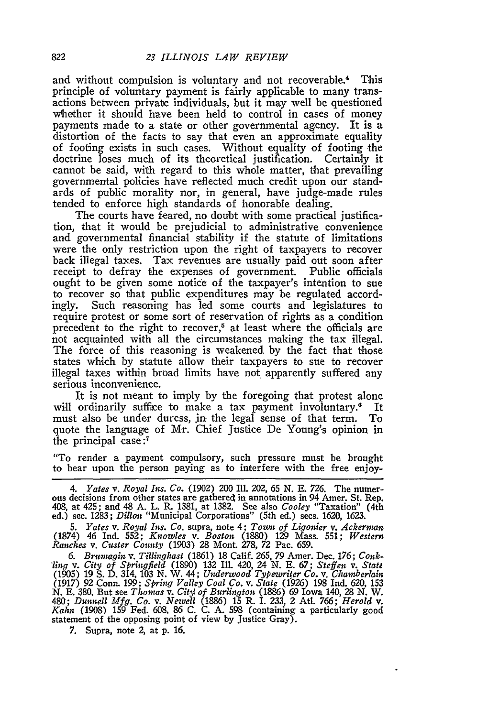and without compulsion is voluntary and not recoverable.4 This principle of voluntary payment is fairly applicable to many transactions between private individuals, but it may well be questioned whether it should have been held to control in cases of money payments made to a state or other governmental agency. It is a distortion of the facts to say that even an approximate equality of footing exists in such cases. Without equality of footing the doctrine loses much of its theoretical justification. Certainly it cannot be said, with regard to this whole matter, that prevailing governmental policies have reflected much credit upon our standards of public morality nor, in general, have judge-made rules tended to enforce high standards of honorable dealing.

The courts have feared, no doubt with some practical justification, that it would be prejudicial to administrative convenience and governmental financial stability if the statute of limitations were the only restriction upon the right of taxpayers to recover back illegal taxes. Tax revenues are usually paid out soon after receipt to defray the expenses of government. Public officials ought to be given some notice of the taxpayer's intention to sue to recover so that public expenditures may be regulated accordingly. Such reasoning has led some courts and legislatures to require protest or some sort of reservation of rights as a condition precedent to the right to recover,<sup>5</sup> at least where the officials are not acquainted with all the circumstances making the tax illegal. The force of this reasoning is weakened by the fact that those states which by statute allow their taxpayers to sue to recover illegal taxes within broad limits have not apparently suffered any serious inconvenience.

It is not meant to imply by the foregoing that protest alone will ordinarily suffice to make a tax payment involuntary.<sup>6</sup> It must also be under duress, jn the legal sense of that term. To quote the language of Mr. Chief justice De Young's opinion in the principal case:<sup>7</sup>

"To render a payment compulsory, such pressure must be brought to bear upon the person paying as to interfere with the free enjoy-

*5. Yates v. Royal Ins. Co.* supra, note 4; *Town of Ligonier v. Ackerman* (1874) 46 Ind. 552; *Knowles v. Boston* (1880) 129 Mass. 551; *Western Ranches v. Custer County* (1903) **28** Mont. **278, 72** Pac. **659.**

*6. Brumagin v. Tillinglost* **(1861) 18** Calif. **265, 79** Amer. Dec. **176;** *Conk- "lnjq* v. *City of Springfield* (1890) **132** Ill. 420, 24 **N. E. 67;** *Steffen v. State* **(1905) 19 S. D.** 314, 103 **N.** W. 44; *Underwood Typewriter Co. v. Chamberlain* (1917) **92** Conn. 199; *Spring Valley Coal Co. v. State* (1926) **198** Ind. **620, 153** *N.* **E. 380.** But see *Thomas v. Cit3i of Burlington* (1886) 69 Iowa 140, **28** *N.* W. 480; *Dunnell Mfg. Co.* v. Newell (1886) 15 R. Ì. 233, 2 Atl. 766; *Herold* v.<br>*Kahn* (1908) 159 Fed. 608, 86 C. C. A. 598 (containing a particularly good statement of the opposing point of view **by** Justice Gray).

**7.** Supra, note 2, at **p. 16.**

<sup>4.</sup> *Yates v. Royal Ins. Co.* (1902) 200 Ill. 202, 65 N. E. 726. The numerous decisions from other states are gathered in annotations in 94 Amer. St. Rep. 408, at 425; and 48 A. L. R. 1381, at 1382. See also *Cooley* "Taxat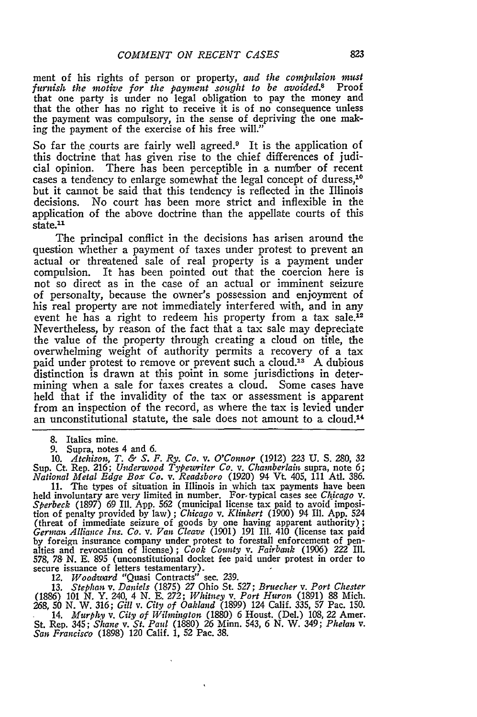ment of his rights of person or property, *and* the *compulsion must* furnish the motive for the payment sought to be avoided.<sup>8</sup> that one party is under no legal obligation to pay the money and that the other has no right to receive it is of no consequence unless the payment was compulsory, in the sense of depriving the one making the payment of the exercise of his free will.'

So far the courts are fairly well agreed.<sup>9</sup> It is the application of this doctrine that has given rise to the chief differences of judicial opinion. There has been perceptible in a number of recent cases a tendency to enlarge somewhat the legal concept of duress,<sup>10</sup> but it cannot be said that this tendency is reflected in the Illinois decisions. No court has been more strict and inflexible in the application of the above doctrine than the appellate courts of this state.<sup>11</sup>

The principal conflict in the decisions has arisen around the question whether a payment of taxes under protest to prevent an actual or threatened sale of real property is a payment under compulsion. It has been pointed out that the coercion here is not so direct as in the case of an actual or imminent seizure of personalty, because the owner's possession and enjoyment of his real property are not immediately interfered with, and in any event he has a right to redeem his property from a tax sale.<sup>12</sup> Nevertheless, by reason of the fact that a tax sale may depreciate the value of the property through creating a cloud on title, the overwhelming weight of authority permits a recovery of a tax paid under protest to remove or prevent such a cloud.<sup>13</sup> A dubious distinction is drawn at this point in some jurisdictions in determining when a sale for taxes creates a cloud. Some cases have held that if the invalidity of the tax or assessment is apparent from an inspection of the record, as where the tax is levied under an unconstitutional statute, the sale does not amount to a cloud.14

8. Italics mine.

9. Supra, notes 4 and 6. 10. *Atchison, T. & S. F. Ry. Co. v. O'Connor* (1912) 223 **U.** S. 280, 32 Sup. Ct. Rep. 216; *Underwood Typewriter Co. v. Chamberlain* supra, note 6; *National Metal Edge Box Co. v. Readsboro* (1920) 94 Vt. 405, 111 Atl. 386.

11. The types of situation in Illinois in which tax payments have been held involuntary are very limited in number. For-typical cases see *Chicago v. Sperbeck* (1897) 69 Ill. App. 562 (municipal license tax paid to avoid imposition of penalty provided by law) ; *Chicago v. Klinkert* (1900) 94 Ill. App. 524 (threat of immediate seizure of goods by one having apparent authority) German Alliance Ins. Co. v. Van Cleave (1901) 191 III. 410 (license tax paid<br>by foreign insurance company under protest to forestall enforcement of pen-<br>alties and revocation of license); Cook County v. Fairbank (1906) 222 578, 78 N. E. 895 (unconstitutional docket fee paid under protest in order to secure issuance of letters testamentary).

*12. Woodward* "Quasi Contracts" sec. 239. **13.** *Stephan v. Daniels* (1875) 27 Ohio St. 527; *Bruecher v. Port Chester* (1886) 101 N. Y. 240, 4 N. E. *272; Whitney v. Port Huron* (1891) 88 Mich.

268, 50 N. W. 316; *Gill v. City of Oakland* (1899) 124 Calif. 335, 57 Pac. 150. 14. *Murphi, v. City of Wilmington* (1880) 6 Houst. (Del.) 108, 22 Amer. St. Rep. 345; *Shane v. St. Paul* (1880) 26 Minn. 543, 6 N. W. 349; *Phelan v. San Francisco* (1898) 120 Calif. 1, 52 Pac. 38.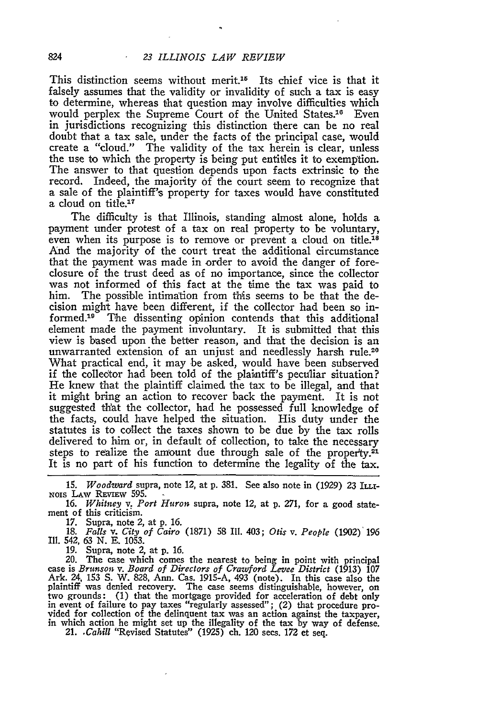This distinction seems without merit.<sup>15</sup> Its chief vice is that it falsely assumes that the validity or invalidity of such a tax is easy to determine, whereas that question may involve difficulties which would perplex the Supreme Court of the United States.<sup>16</sup> Even in jurisdictions recognizing this distinction there can be no real doubt that a tax sale, under the facts of the principal case, would create a "cloud." The validity of the tax herein is clear, unless the use to which the property is being put entitles it to exemption. The answer to that question depends upon facts extrinsic to the record. Indeed, the majority of the court seem to recognize that **a** sale of the plaintiff's property for taxes would have constituted a cloud on title.<sup>17</sup>

The difficulty is that Illinois, standing almost alone, holds a payment under protest of a tax on real property to be voluntary, even when its purpose is to remove or prevent a cloud on title.<sup>18</sup> And the majority of the court treat the additional circumstance that the payment was made in order to avoid the danger of foreclosure of the trust deed as of no importance, since the collector was not informed of this fact at the time the tax was paid to him. The possible intimation from this seems to be that the decision might have been different, if the collector had been so informed.19 The dissenting opinion contends that this additional element made the payment involuntary. It is submitted that this view is based upon the better reason, and that the decision is an unwarranted extension of an unjust and needlessly harsh rule.<sup>20</sup> What practical end, it may be asked, would have been subserved if the collector had been told of the plaintiff's peculiar situation? He knew that the plaintiff claimed the tax to be illegal, and that it might bring an action to recover back the payment. It is not suggested that the collector, had he possessed full knowledge of the facts, could have helped the situation. His duty under the statutes is to collect the taxes shown to be due by the tax rolls delivered to him or, in default of collection, to take the necessary steps to realize the amount due through sale of the property.<sup>21</sup> It is no part of his function to determine the legality of the tax.

*15. Woodward* supra, note 12, at p. 381. See also note in (1929) 23 ILLI-**NOIS LAW REVIEW 595.** 

16. *Whitney v. Port Huron* supra, note 12, at p. 271, for a good statement of this criticism.

17. Supra, note *2,* at p. 16. 18. *Falls v. City of Cairo* (1871) 58 IMI. 403; *Otis v. People* (1902) *196* Ill. 542, 63 N. E. 1053.

19. Supra, note 2, at p. 16.

20. The case which comes the nearest to being in point with principal case is Brunson v. Board of Directors of Crawford Levee District (1913) 107 Ark. 24, 153 S. W. 828, Ann. Cas. 1915-A, 493 (note). In this case also the plaintiff was denied recovery. The case seems distinguishable, however, on<br>two grounds: (1) that the mortgage provided for acceleration of debt only<br>in event of failure to pay taxes "regularly assessed"; (2) that procedure in which action he might set up the illegality of the tax by way of defense.<br>21. *Cahill* "Revised Statutes" (1925) ch. 120 secs. 172 et seq.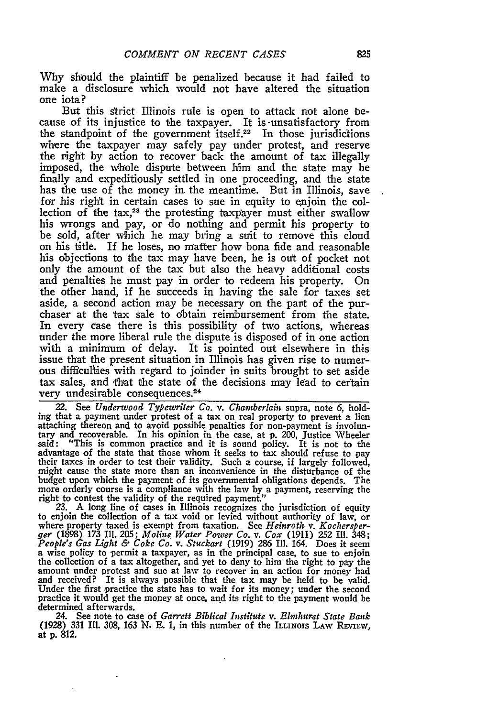**Why** should the plaintiff be penalized because it had failed to make a disclosure which would not have altered the situation one iota?

But this strict Illinois rule is open to attack not alone because of its injustice to the taxpayer. It is -unsatisfactory from the standpoint of the government itself.<sup>22</sup> In those jurisdictions where the taxpayer may safely pay under protest, and reserve the right **by** action to recover back the amount of tax illegally imposed, the whole dispute between **him** and the state may be finally and expeditiously settled in one proceeding, and the state has the use of the money in the meantime. But in Illinois, save for his right in certain cases to sue in equity to enjoin the collection of the **tax,23** the protesting taxpayer must either swallow his wrongs and pay, or do nothing and permit his property to be sold, after which he may bring a suit to remove this cloud on his title. If he loses, no matter how bona fide and reasonable his objections to the tax may have been, he is out of pocket not only the amount of the tax but also the heavy additional costs and penalties he must pay in order to redeem his property. On the other hand, if he succeeds in having the sale for taxes set aside, a second action may be necessary on the part of the pur- chaser at the tax sale to obtain reimbursement from the state. In every case there is this possibility of two actions, whereas under the more liberal rule the dispute is disposed of in one action **with** a minimum of delay. It is pointed out elsewhere in this issue that the present situation in Illinois has given rise to numerous difficufies with regard to joinder in suits brought to set aside tax sales, and that the state of the decisions may lead to certain very undesirable consequences.

**22.** See *Underwood Typewriter Co. v. Chamberlain* supra, note 6, holding that a payment under protest of a tax on real property to prevent a lien attaching thereon and to avoid possible penalties for non-payment is involun-tary and recoverable. In his opinion in the case, at **p.** 200, Justice Wheeler said: "This is common practice and it is sound policy. It is not to the advantage of the state that those whom it seeks to tax should refuse to pay their taxes in order to test their validity. Such a course, if largely followed, their taxes in order to test their validity. Such a course, if largely followed, might cause the state more than an inconvenience in the disturbance of the budget upon which the payment of its governmental obligations depends. The more orderly course is a compliance with the law by a payment, reserving the

23. A long line of cases in Illinois recognizes the jurisdiction of equity to enjoin the collection of a tax void or levied without authority of law, or<br>where property taxed is exempt from taxation. See *Heinroth* v. *Kochersber-*<br>ger (1898) 173 III. 205; *Moline Water Power Co. v. Cox* (1911) 2 People's Gas Light & Coke Co. v. Stuckart (1919) 286 Ill. 164. Does it seem<br>a wise policy to permit a taxpayer, as in the principal case, to sue to enjoin<br>the collection of a tax altogether, and yet to deny to him the righ amount under protest and sue at law to recover in an action for money had and received? It is always possible that the tax may be held to be valid. Under the first practice the state has to wait for its money; under the second practice it would get the money at once, and its right to the payment would be determined afterwards.

24. See note to case of *Garrett Biblical Institute v. Elmhurst State Bank* (1928) **331** Ill. **308,** *163* **N. E. 1,** in this number of the ILLINOIS LAW REVIEW, at **p.** 812.